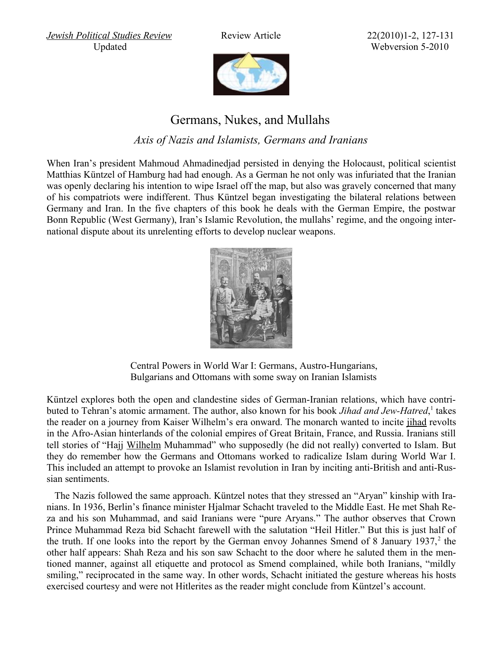*[Jewish Political Studies Review](http://www.jcpa.org/JCPA/Templates/showpage.asp?DBID=1&LNGID=1&TMID=84&FID=625) Review Article* 22(2010)1-2, 127-131

Updated Webversion 5-2010



## Germans, Nukes, and Mullahs

*Axis of Nazis and Islamists, Germans and Iranians*

When Iran's president Mahmoud Ahmadinedjad persisted in denying the Holocaust, political scientist Matthias Küntzel of Hamburg had had enough. As a German he not only was infuriated that the Iranian was openly declaring his intention to wipe Israel off the map, but also was gravely concerned that many of his compatriots were indifferent. Thus Küntzel began investigating the bilateral relations between Germany and Iran. In the five chapters of this book he deals with the German Empire, the postwar Bonn Republic (West Germany), Iran's Islamic Revolution, the mullahs' regime, and the ongoing international dispute about its unrelenting efforts to develop nuclear weapons.



 Central Powers in World War I: Germans, Austro-Hungarians, Bulgarians and Ottomans with some sway on Iranian Islamists

Küntzel explores both the open and clandestine sides of German-Iranian relations, which have contributed to Tehran's atomic armament. The author, also known for his book *Jihad and Jew-Hatred*,<sup>1</sup> takes the reader on a journey from Kaiser Wilhelm's era onward. The monarch wanted to incite [jihad](http://www.trafoberlin.de/pdf-dateien/Germany Middle East Policy MERIA 2007.pdf) revolts in the Afro-Asian hinterlands of the colonial empires of Great Britain, France, and Russia. Iranians still tell stories of "Hajj [Wilhelm](http://www.trafoberlin.de/pdf-Neu/Stefan Buchen Kaiser Wilhelms Heiliger Krieg.pdf) Muhammad" who supposedly (he did not really) converted to Islam. But they do remember how the Germans and Ottomans worked to radicalize Islam during World War I. This included an attempt to provoke an Islamist revolution in Iran by inciting anti-British and anti-Russian sentiments.

The Nazis followed the same approach. Küntzel notes that they stressed an "Aryan" kinship with Iranians. In 1936, Berlin's finance minister Hjalmar Schacht traveled to the Middle East. He met Shah Reza and his son Muhammad, and said Iranians were "pure Aryans." The author observes that Crown Prince Muhammad Reza bid Schacht farewell with the salutation "Heil Hitler." But this is just half of the truth. If one looks into the report by the German envoy Johannes Smend of 8 January 1937,<sup>2</sup> the other half appears: Shah Reza and his son saw Schacht to the door where he saluted them in the mentioned manner, against all etiquette and protocol as Smend complained, while both Iranians, "mildly smiling," reciprocated in the same way. In other words, Schacht initiated the gesture whereas his hosts exercised courtesy and were not Hitlerites as the reader might conclude from Küntzel's account.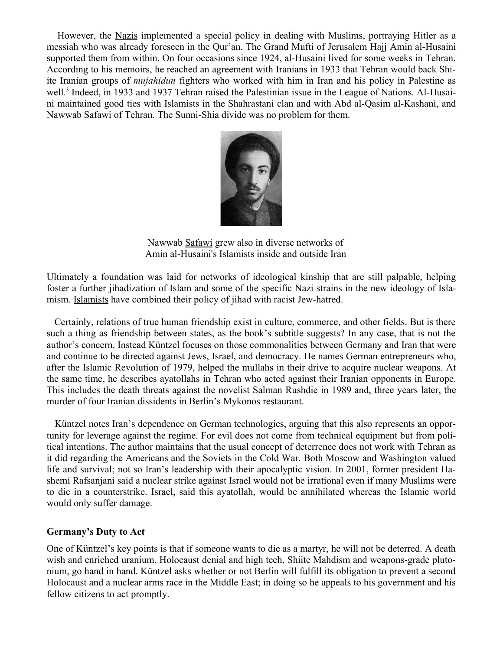However, the [Nazis](http://www.trafoberlin.de/pdf-dateien/Fritz Grobba Germany Middle  East.pdf) implemented a special policy in dealing with Muslims, portraying Hitler as a messiah who was already foreseen in the Qur'an. The Grand Mufti of Jerusalem Hajj Amin [al-Husaini](http://www.trafoberlin.de/pdf-Neu/Amin al-Husaini and the Holocaust.pdf) supported them from within. On four occasions since 1924, al-Husaini lived for some weeks in Tehran. According to his memoirs, he reached an agreement with Iranians in 1933 that Tehran would back Shiite Iranian groups of *mujahidun* fighters who worked with him in Iran and his policy in Palestine as well.<sup>3</sup> Indeed, in 1933 and 1937 Tehran raised the Palestinian issue in the League of Nations. Al-Husaini maintained good ties with Islamists in the Shahrastani clan and with Abd al-Qasim al-Kashani, and Nawwab Safawi of Tehran. The Sunni-Shia divide was no problem for them.



 Nawwab [Safawi](http://de.wikipedia.org/wiki/Navvab_Safawi) grew also in diverse networks of Amin al-Husaini's Islamists inside and outside Iran

Ultimately a foundation was laid for networks of ideological [kinship](http://www.trafoberlin.de/pdf-dateien/2009_04_19/Wolfgang G Schwanitz Sheik And Shoah.pdf) that are still palpable, helping foster a further jihadization of Islam and some of the specific Nazi strains in the new ideology of Islamism. [Islamists](http://www.trafoberlin.de/pdf-dateien/2010_01_19/Goetz Nordbruch Hitler in the Levant.pdf) have combined their policy of jihad with racist Jew-hatred.

Certainly, relations of true human friendship exist in culture, commerce, and other fields. But is there such a thing as friendship between states, as the book's subtitle suggests? In any case, that is not the author's concern. Instead Küntzel focuses on those commonalities between Germany and Iran that were and continue to be directed against Jews, Israel, and democracy. He names German entrepreneurs who, after the Islamic Revolution of 1979, helped the mullahs in their drive to acquire nuclear weapons. At the same time, he describes ayatollahs in Tehran who acted against their Iranian opponents in Europe. This includes the death threats against the novelist Salman Rushdie in 1989 and, three years later, the murder of four Iranian dissidents in Berlin's Mykonos restaurant.

Küntzel notes Iran's dependence on German technologies, arguing that this also represents an opportunity for leverage against the regime. For evil does not come from technical equipment but from political intentions. The author maintains that the usual concept of deterrence does not work with Tehran as it did regarding the Americans and the Soviets in the Cold War. Both Moscow and Washington valued life and survival; not so Iran's leadership with their apocalyptic vision. In 2001, former president Hashemi Rafsanjani said a nuclear strike against Israel would not be irrational even if many Muslims were to die in a counterstrike. Israel, said this ayatollah, would be annihilated whereas the Islamic world would only suffer damage.

## **Germany's Duty to Act**

One of Küntzel's key points is that if someone wants to die as a martyr, he will not be deterred. A death wish and enriched uranium, Holocaust denial and high tech, Shiite Mahdism and weapons-grade plutonium, go hand in hand. Küntzel asks whether or not Berlin will fulfill its obligation to prevent a second Holocaust and a nuclear arms race in the Middle East; in doing so he appeals to his government and his fellow citizens to act promptly.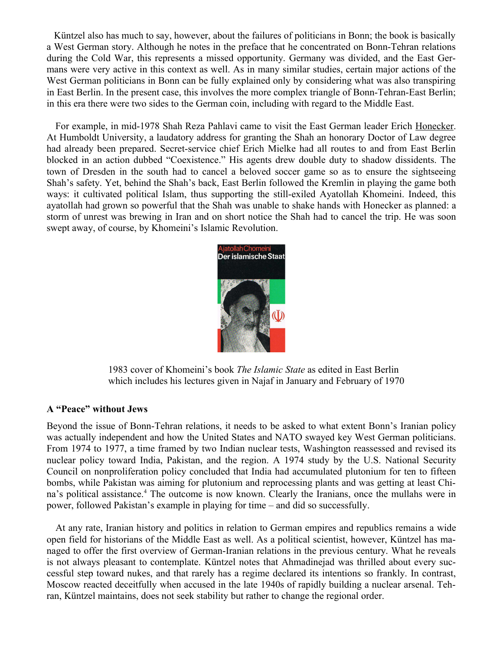Küntzel also has much to say, however, about the failures of politicians in Bonn; the book is basically a West German story. Although he notes in the preface that he concentrated on Bonn-Tehran relations during the Cold War, this represents a missed opportunity. Germany was divided, and the East Germans were very active in this context as well. As in many similar studies, certain major actions of the West German politicians in Bonn can be fully explained only by considering what was also transpiring in East Berlin. In the present case, this involves the more complex triangle of Bonn-Tehran-East Berlin; in this era there were two sides to the German coin, including with regard to the Middle East.

For example, in mid-1978 Shah Reza Pahlavi came to visit the East German leader Erich [Honecker.](http://www.trafoberlin.de/pdf-dateien/2009_03_27/Wolfgang G Schwanitz German Kuwaiti Relations.pdf) At Humboldt University, a laudatory address for granting the Shah an honorary Doctor of Law degree had already been prepared. Secret-service chief Erich Mielke had all routes to and from East Berlin blocked in an action dubbed "Coexistence." His agents drew double duty to shadow dissidents. The town of Dresden in the south had to cancel a beloved soccer game so as to ensure the sightseeing Shah's safety. Yet, behind the Shah's back, East Berlin followed the Kremlin in playing the game both ways: it cultivated political Islam, thus supporting the still-exiled Ayatollah Khomeini. Indeed, this ayatollah had grown so powerful that the Shah was unable to shake hands with Honecker as planned: a storm of unrest was brewing in Iran and on short notice the Shah had to cancel the trip. He was soon swept away, of course, by Khomeini's Islamic Revolution.



 1983 cover of Khomeini's book *The Islamic State* as edited in East Berlin which includes his lectures given in Najaf in January and February of 1970

## **A "Peace" without Jews**

Beyond the issue of Bonn-Tehran relations, it needs to be asked to what extent Bonn's Iranian policy was actually independent and how the United States and NATO swayed key West German politicians. From 1974 to 1977, a time framed by two Indian nuclear tests, Washington reassessed and revised its nuclear policy toward India, Pakistan, and the region. A 1974 study by the U.S. National Security Council on nonproliferation policy concluded that India had accumulated plutonium for ten to fifteen bombs, while Pakistan was aiming for plutonium and reprocessing plants and was getting at least China's political assistance.<sup>4</sup> The outcome is now known. Clearly the Iranians, once the mullahs were in power, followed Pakistan's example in playing for time – and did so successfully.

At any rate, Iranian history and politics in relation to German empires and republics remains a wide open field for historians of the Middle East as well. As a political scientist, however, Küntzel has managed to offer the first overview of German-Iranian relations in the previous century. What he reveals is not always pleasant to contemplate. Küntzel notes that Ahmadinejad was thrilled about every successful step toward nukes, and that rarely has a regime declared its intentions so frankly. In contrast, Moscow reacted deceitfully when accused in the late 1940s of rapidly building a nuclear arsenal. Tehran, Küntzel maintains, does not seek stability but rather to change the regional order.